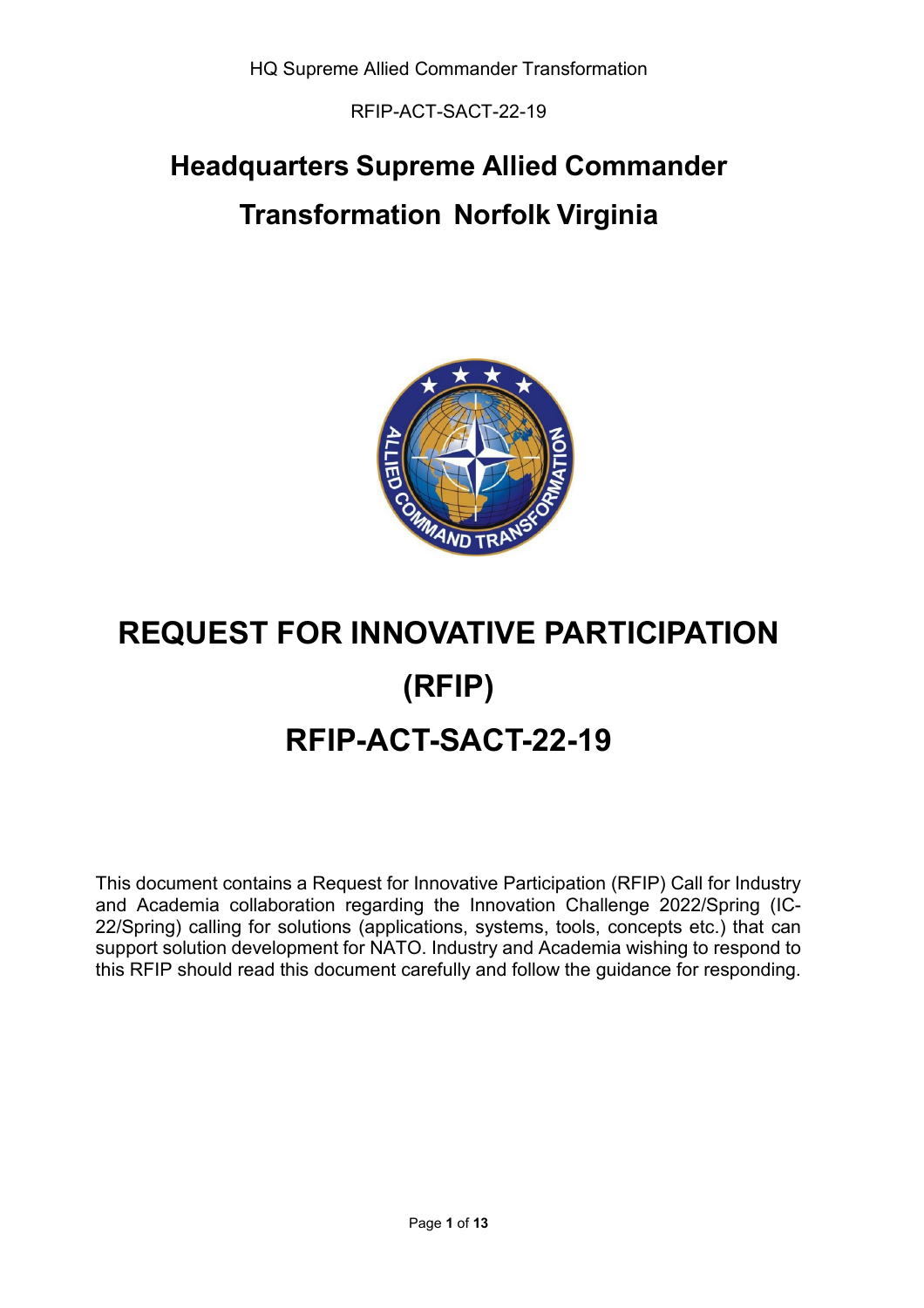RFIP-ACT-SACT-22-19

## **Headquarters Supreme Allied Commander Transformation Norfolk Virginia**



# **REQUEST FOR INNOVATIVE PARTICIPATION (RFIP) RFIP-ACT-SACT-22-19**

This document contains a Request for Innovative Participation (RFIP) Call for Industry and Academia collaboration regarding the Innovation Challenge 2022/Spring (IC-22/Spring) calling for solutions (applications, systems, tools, concepts etc.) that can support solution development for NATO. Industry and Academia wishing to respond to this RFIP should read this document carefully and follow the guidance for responding.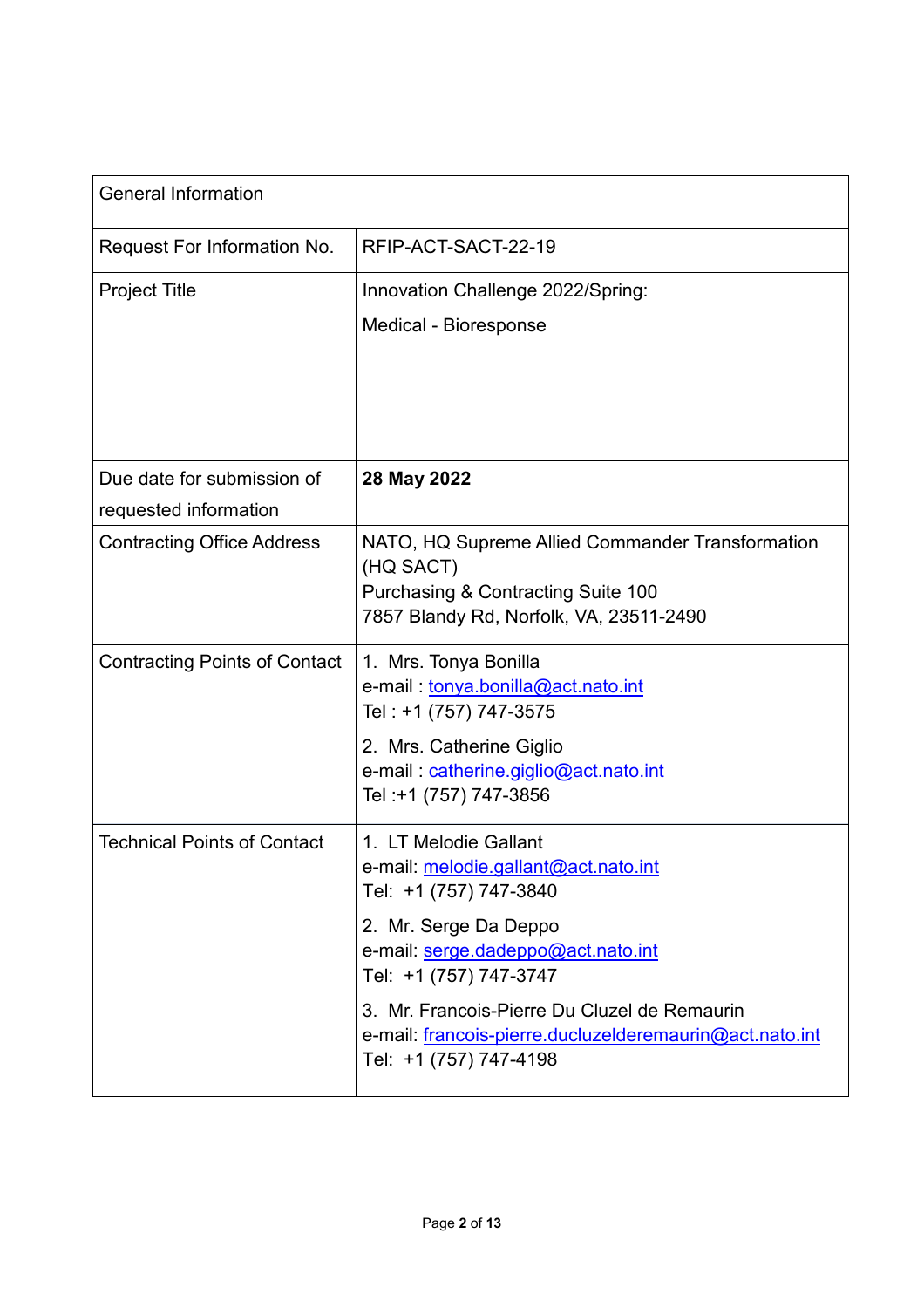| <b>General Information</b>                          |                                                                                                                                                                                                                                                                                                                              |
|-----------------------------------------------------|------------------------------------------------------------------------------------------------------------------------------------------------------------------------------------------------------------------------------------------------------------------------------------------------------------------------------|
| Request For Information No.                         | RFIP-ACT-SACT-22-19                                                                                                                                                                                                                                                                                                          |
| <b>Project Title</b>                                | Innovation Challenge 2022/Spring:<br>Medical - Bioresponse                                                                                                                                                                                                                                                                   |
| Due date for submission of<br>requested information | 28 May 2022                                                                                                                                                                                                                                                                                                                  |
| <b>Contracting Office Address</b>                   | NATO, HQ Supreme Allied Commander Transformation<br>(HQ SACT)<br><b>Purchasing &amp; Contracting Suite 100</b><br>7857 Blandy Rd, Norfolk, VA, 23511-2490                                                                                                                                                                    |
| <b>Contracting Points of Contact</b>                | 1. Mrs. Tonya Bonilla<br>e-mail: tonya.bonilla@act.nato.int<br>Tel: +1 (757) 747-3575<br>2. Mrs. Catherine Giglio<br>e-mail: catherine.giglio@act.nato.int<br>Tel:+1 (757) 747-3856                                                                                                                                          |
| <b>Technical Points of Contact</b>                  | 1. LT Melodie Gallant<br>e-mail: <u>melodie.gallant@act.nato.int</u><br>Tel: +1 (757) 747-3840<br>2. Mr. Serge Da Deppo<br>e-mail: serge.dadeppo@act.nato.int<br>Tel: +1 (757) 747-3747<br>3. Mr. Francois-Pierre Du Cluzel de Remaurin<br>e-mail: francois-pierre.ducluzelderemaurin@act.nato.int<br>Tel: +1 (757) 747-4198 |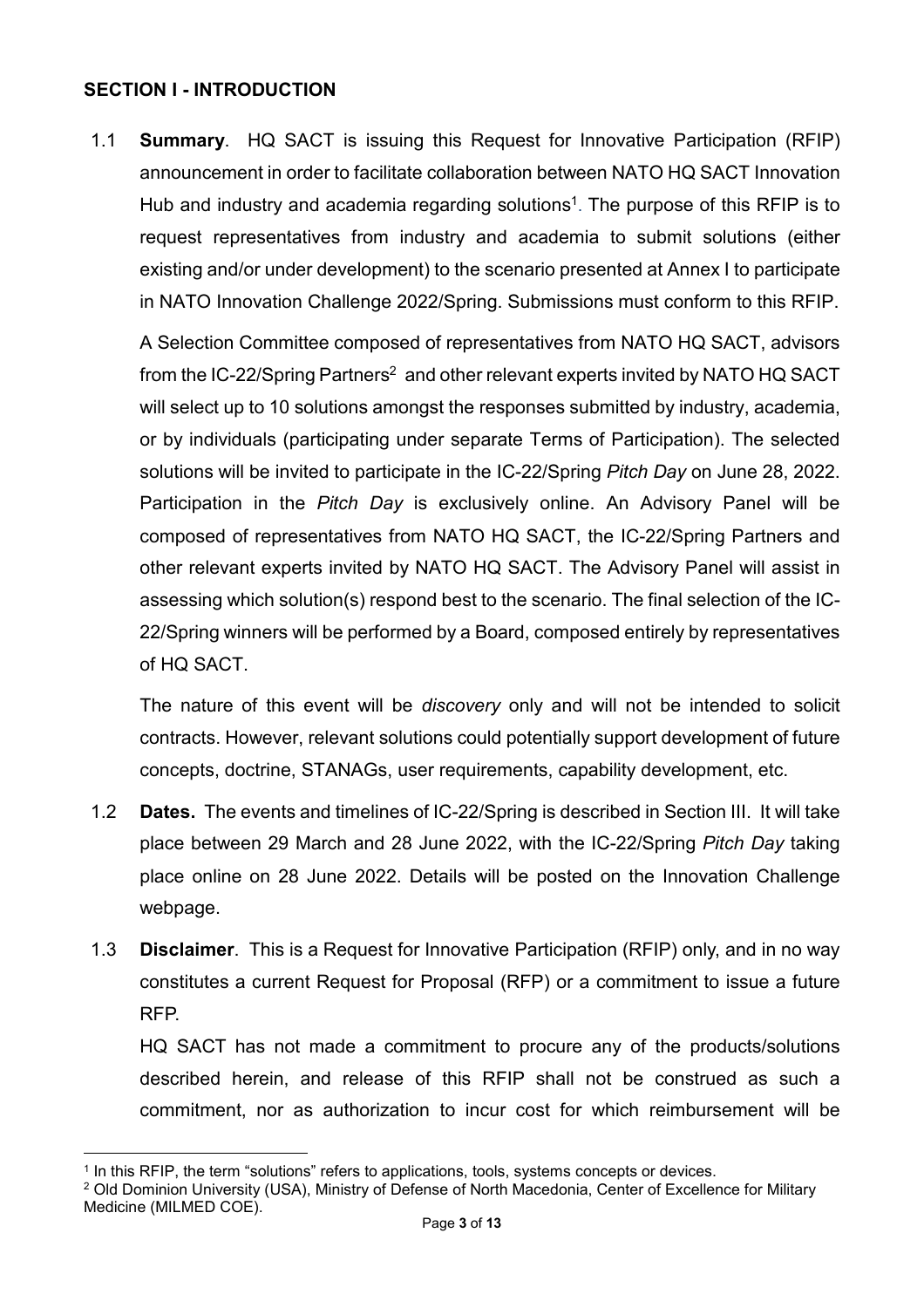## **SECTION I - INTRODUCTION**

1.1 **Summary**. HQ SACT is issuing this Request for Innovative Participation (RFIP) announcement in order to facilitate collaboration between NATO HQ SACT Innovation Hub and industry and academia regarding solutions<sup>1</sup>. The purpose of this RFIP is to request representatives from industry and academia to submit solutions (either existing and/or under development) to the scenario presented at Annex I to participate in NATO Innovation Challenge 2022/Spring. Submissions must conform to this RFIP.

A Selection Committee composed of representatives from NATO HQ SACT, advisors from the IC-22/Spring Partners<sup>2</sup> and other relevant experts invited by NATO HQ SACT will select up to 10 solutions amongst the responses submitted by industry, academia, or by individuals (participating under separate Terms of Participation). The selected solutions will be invited to participate in the IC-22/Spring *Pitch Day* on June 28, 2022. Participation in the *Pitch Day* is exclusively online. An Advisory Panel will be composed of representatives from NATO HQ SACT, the IC-22/Spring Partners and other relevant experts invited by NATO HQ SACT. The Advisory Panel will assist in assessing which solution(s) respond best to the scenario. The final selection of the IC-22/Spring winners will be performed by a Board, composed entirely by representatives of HQ SACT.

The nature of this event will be *discovery* only and will not be intended to solicit contracts. However, relevant solutions could potentially support development of future concepts, doctrine, STANAGs, user requirements, capability development, etc.

- 1.2 **Dates.** The events and timelines of IC-22/Spring is described in Section III. It will take place between 29 March and 28 June 2022, with the IC-22/Spring *Pitch Day* taking place online on 28 June 2022. Details will be posted on the Innovation Challenge webpage.
- 1.3 **Disclaimer**. This is a Request for Innovative Participation (RFIP) only, and in no way constitutes a current Request for Proposal (RFP) or a commitment to issue a future RFP.

HQ SACT has not made a commitment to procure any of the products/solutions described herein, and release of this RFIP shall not be construed as such a commitment, nor as authorization to incur cost for which reimbursement will be

Medicine (MILMED COE).

 $\overline{a}$ 

<sup>&</sup>lt;sup>1</sup> In this RFIP, the term "solutions" refers to applications, tools, systems concepts or devices.

<sup>&</sup>lt;sup>2</sup> Old Dominion University (USA), Ministry of Defense of North Macedonia, Center of Excellence for Military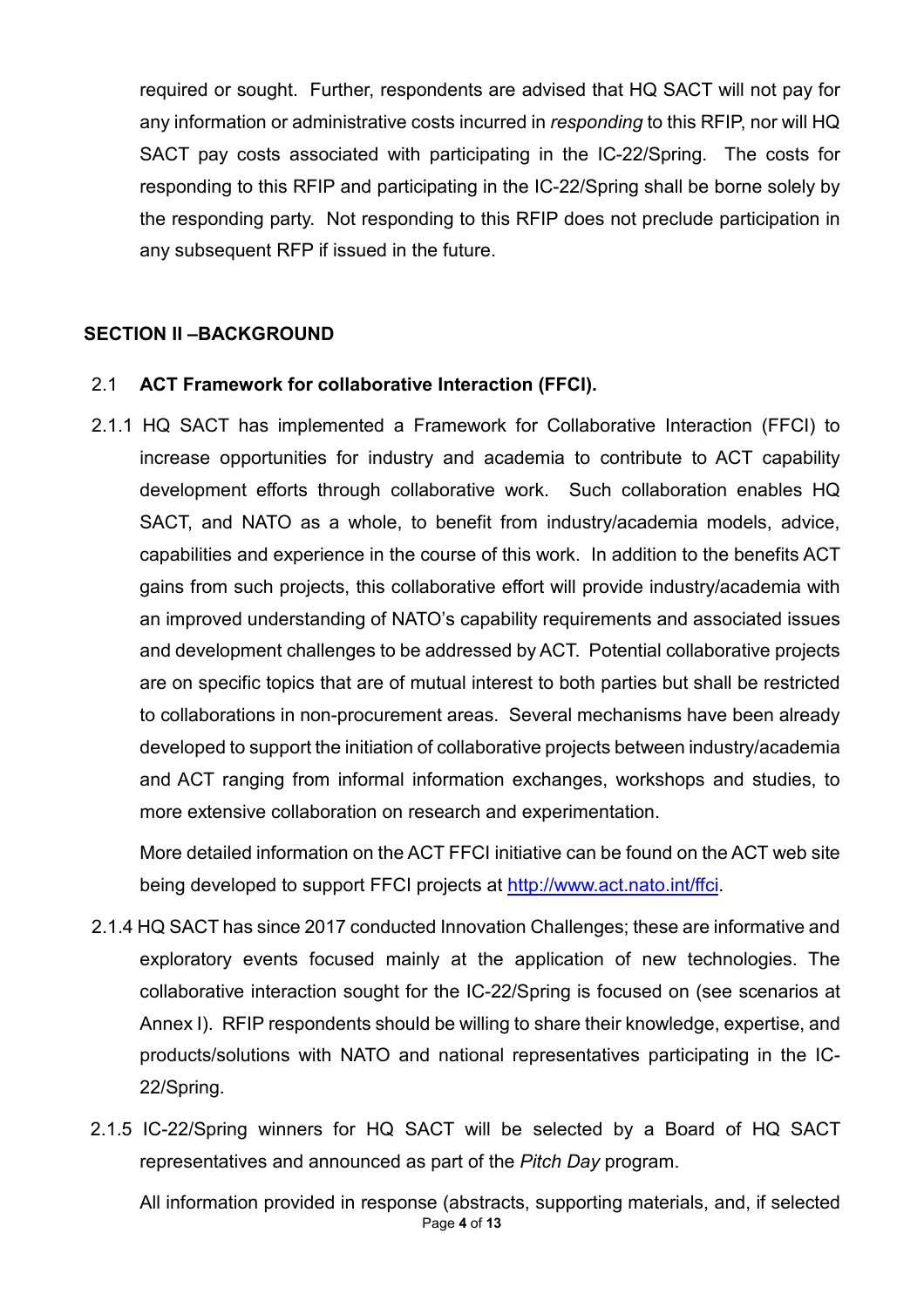required or sought. Further, respondents are advised that HQ SACT will not pay for any information or administrative costs incurred in *responding* to this RFIP, nor will HQ SACT pay costs associated with participating in the IC-22/Spring. The costs for responding to this RFIP and participating in the IC-22/Spring shall be borne solely by the responding party. Not responding to this RFIP does not preclude participation in any subsequent RFP if issued in the future.

## **SECTION II –BACKGROUND**

### 2.1 **ACT Framework for collaborative Interaction (FFCI).**

2.1.1 HQ SACT has implemented a Framework for Collaborative Interaction (FFCI) to increase opportunities for industry and academia to contribute to ACT capability development efforts through collaborative work. Such collaboration enables HQ SACT, and NATO as a whole, to benefit from industry/academia models, advice, capabilities and experience in the course of this work. In addition to the benefits ACT gains from such projects, this collaborative effort will provide industry/academia with an improved understanding of NATO's capability requirements and associated issues and development challenges to be addressed by ACT. Potential collaborative projects are on specific topics that are of mutual interest to both parties but shall be restricted to collaborations in non-procurement areas. Several mechanisms have been already developed to support the initiation of collaborative projects between industry/academia and ACT ranging from informal information exchanges, workshops and studies, to more extensive collaboration on research and experimentation.

More detailed information on the ACT FFCI initiative can be found on the ACT web site being developed to support FFCI projects at [http://www.act.nato.int/ffci.](http://www.act.nato.int/ffci)

- 2.1.4 HQ SACT has since 2017 conducted Innovation Challenges; these are informative and exploratory events focused mainly at the application of new technologies. The collaborative interaction sought for the IC-22/Spring is focused on (see scenarios at Annex I). RFIP respondents should be willing to share their knowledge, expertise, and products/solutions with NATO and national representatives participating in the IC-22/Spring.
- 2.1.5 IC-22/Spring winners for HQ SACT will be selected by a Board of HQ SACT representatives and announced as part of the *Pitch Day* program.

Page **4** of **13** All information provided in response (abstracts, supporting materials, and, if selected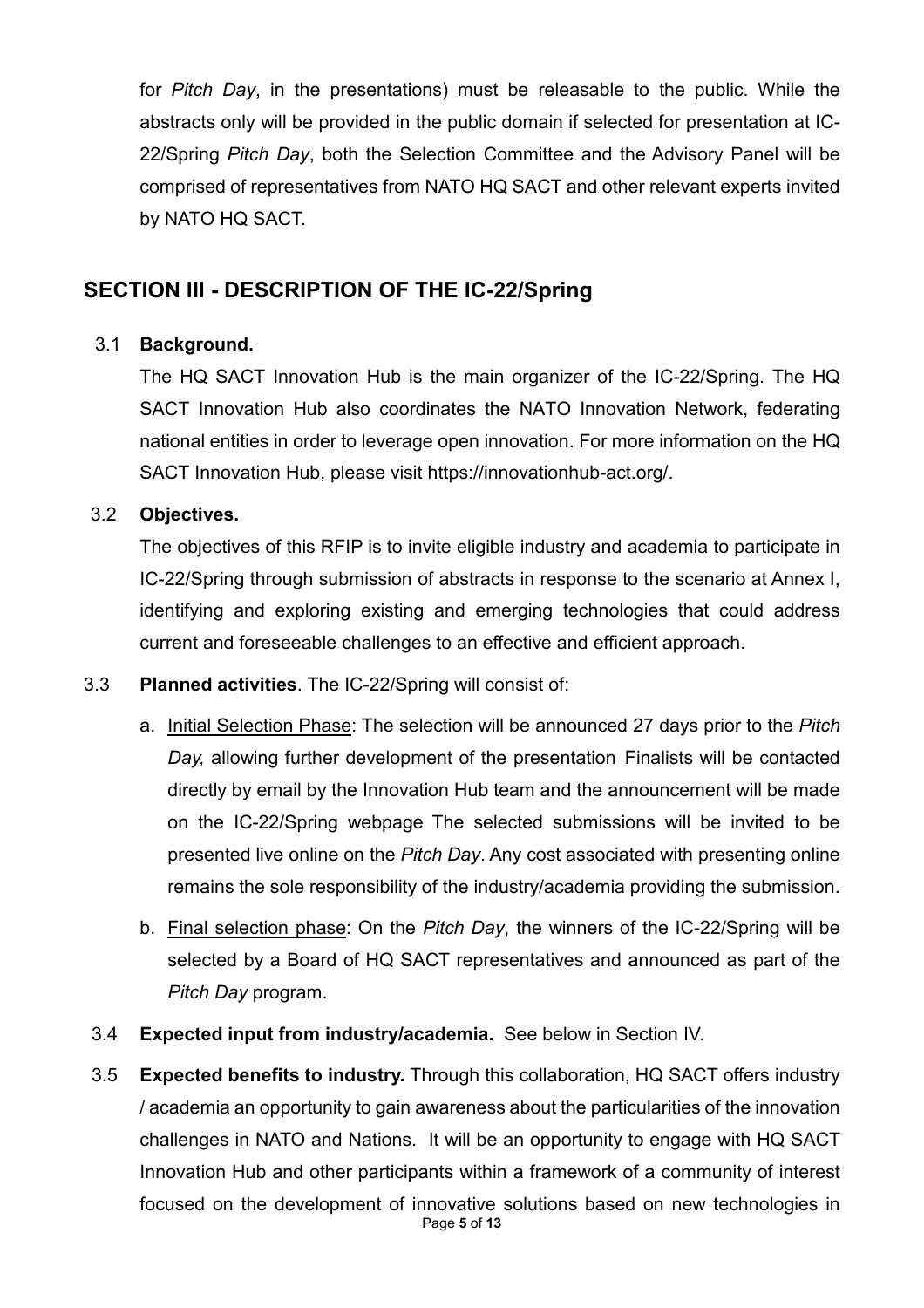for *Pitch Day*, in the presentations) must be releasable to the public. While the abstracts only will be provided in the public domain if selected for presentation at IC-22/Spring *Pitch Day*, both the Selection Committee and the Advisory Panel will be comprised of representatives from NATO HQ SACT and other relevant experts invited by NATO HQ SACT.

## **SECTION III - DESCRIPTION OF THE IC-22/Spring**

## 3.1 **Background.**

The HQ SACT Innovation Hub is the main organizer of the IC-22/Spring. The HQ SACT Innovation Hub also coordinates the NATO Innovation Network, federating national entities in order to leverage open innovation. For more information on the HQ SACT Innovation Hub, please visit https://innovationhub-act.org/.

## 3.2 **Objectives.**

The objectives of this RFIP is to invite eligible industry and academia to participate in IC-22/Spring through submission of abstracts in response to the scenario at Annex I, identifying and exploring existing and emerging technologies that could address current and foreseeable challenges to an effective and efficient approach.

## 3.3 **Planned activities**. The IC-22/Spring will consist of:

- a. Initial Selection Phase: The selection will be announced 27 days prior to the *Pitch Day,* allowing further development of the presentation Finalists will be contacted directly by email by the Innovation Hub team and the announcement will be made on the IC-22/Spring webpage The selected submissions will be invited to be presented live online on the *Pitch Day*. Any cost associated with presenting online remains the sole responsibility of the industry/academia providing the submission.
- b. Final selection phase: On the *Pitch Day*, the winners of the IC-22/Spring will be selected by a Board of HQ SACT representatives and announced as part of the *Pitch Day* program.
- 3.4 **Expected input from industry/academia.** See below in Section IV.
- Page **5** of **13** 3.5 **Expected benefits to industry.** Through this collaboration, HQ SACT offers industry / academia an opportunity to gain awareness about the particularities of the innovation challenges in NATO and Nations. It will be an opportunity to engage with HQ SACT Innovation Hub and other participants within a framework of a community of interest focused on the development of innovative solutions based on new technologies in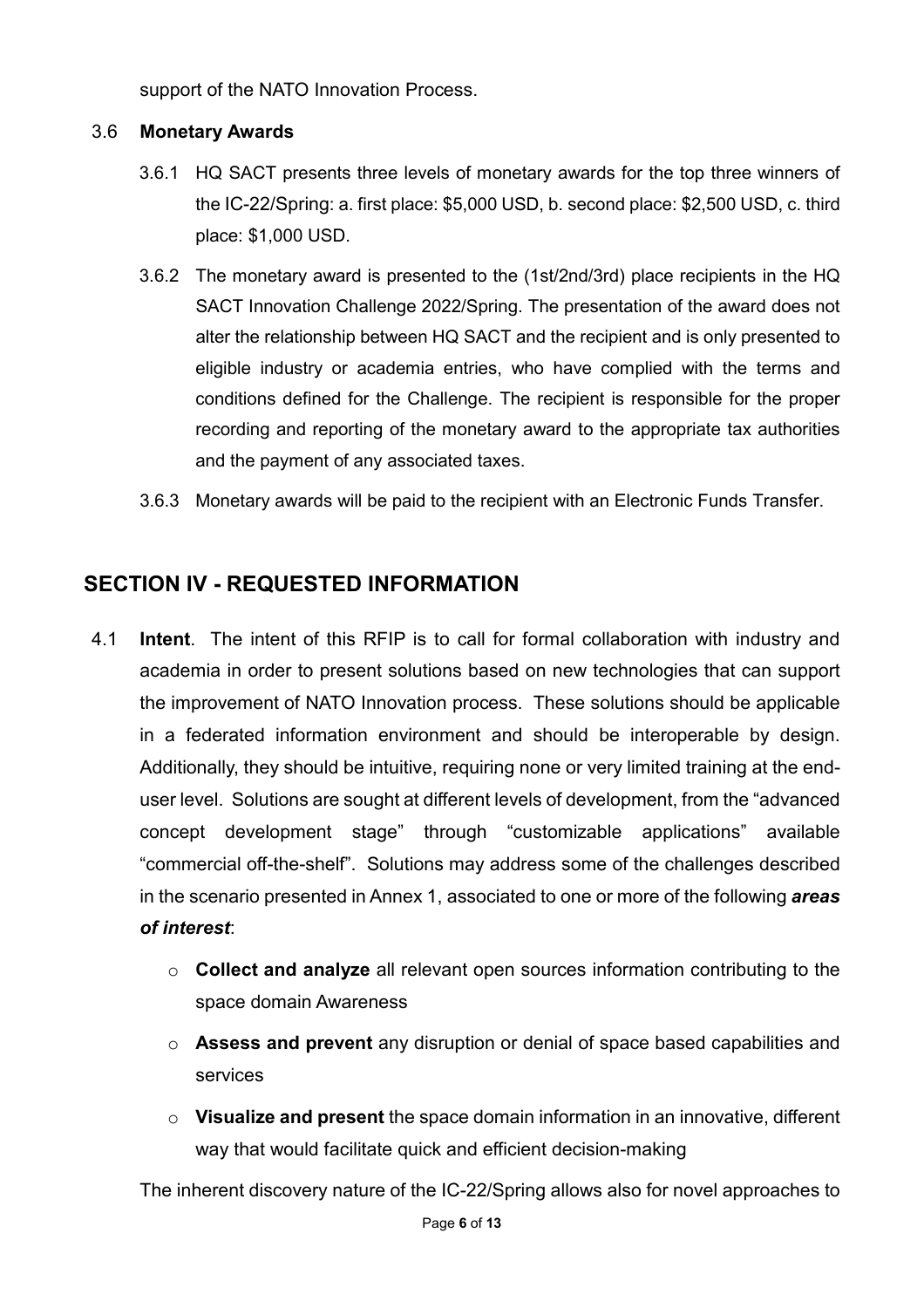support of the NATO Innovation Process.

## 3.6 **Monetary Awards**

- 3.6.1 HQ SACT presents three levels of monetary awards for the top three winners of the IC-22/Spring: a. first place: \$5,000 USD, b. second place: \$2,500 USD, c. third place: \$1,000 USD.
- 3.6.2 The monetary award is presented to the (1st/2nd/3rd) place recipients in the HQ SACT Innovation Challenge 2022/Spring. The presentation of the award does not alter the relationship between HQ SACT and the recipient and is only presented to eligible industry or academia entries, who have complied with the terms and conditions defined for the Challenge. The recipient is responsible for the proper recording and reporting of the monetary award to the appropriate tax authorities and the payment of any associated taxes.
- 3.6.3 Monetary awards will be paid to the recipient with an Electronic Funds Transfer.

## **SECTION IV - REQUESTED INFORMATION**

- 4.1 **Intent**. The intent of this RFIP is to call for formal collaboration with industry and academia in order to present solutions based on new technologies that can support the improvement of NATO Innovation process. These solutions should be applicable in a federated information environment and should be interoperable by design. Additionally, they should be intuitive, requiring none or very limited training at the enduser level. Solutions are sought at different levels of development, from the "advanced concept development stage" through "customizable applications" available "commercial off-the-shelf". Solutions may address some of the challenges described in the scenario presented in Annex 1, associated to one or more of the following *areas of interest*:
	- o **Collect and analyze** all relevant open sources information contributing to the space domain Awareness
	- o **Assess and prevent** any disruption or denial of space based capabilities and services
	- o **Visualize and present** the space domain information in an innovative, different way that would facilitate quick and efficient decision-making

The inherent discovery nature of the IC-22/Spring allows also for novel approaches to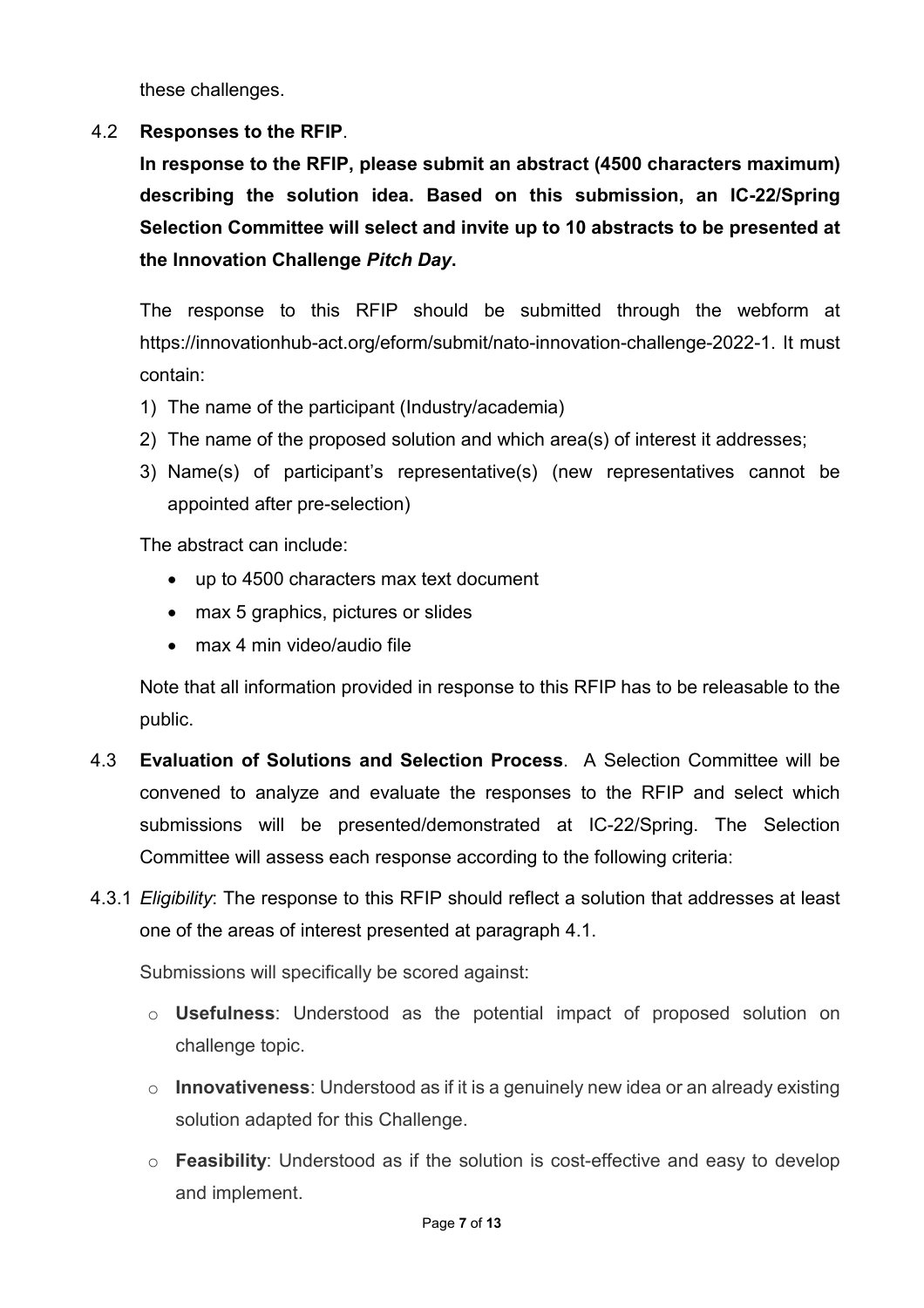these challenges.

## 4.2 **Responses to the RFIP**.

**In response to the RFIP, please submit an abstract (4500 characters maximum) describing the solution idea. Based on this submission, an IC-22/Spring Selection Committee will select and invite up to 10 abstracts to be presented at the Innovation Challenge** *Pitch Day***.**

The response to this RFIP should be submitted through the webform at https://innovationhub-act.org/eform/submit/nato-innovation-challenge-2022-1. It must contain:

- 1) The name of the participant (Industry/academia)
- 2) The name of the proposed solution and which area(s) of interest it addresses;
- 3) Name(s) of participant's representative(s) (new representatives cannot be appointed after pre-selection)

The abstract can include:

- up to 4500 characters max text document
- max 5 graphics, pictures or slides
- max 4 min video/audio file

Note that all information provided in response to this RFIP has to be releasable to the public.

- 4.3 **Evaluation of Solutions and Selection Process**. A Selection Committee will be convened to analyze and evaluate the responses to the RFIP and select which submissions will be presented/demonstrated at IC-22/Spring. The Selection Committee will assess each response according to the following criteria:
- 4.3.1 *Eligibility*: The response to this RFIP should reflect a solution that addresses at least one of the areas of interest presented at paragraph 4.1.

Submissions will specifically be scored against:

- o **Usefulness**: Understood as the potential impact of proposed solution on challenge topic.
- o **Innovativeness**: Understood as if it is a genuinely new idea or an already existing solution adapted for this Challenge.
- o **Feasibility**: Understood as if the solution is cost-effective and easy to develop and implement.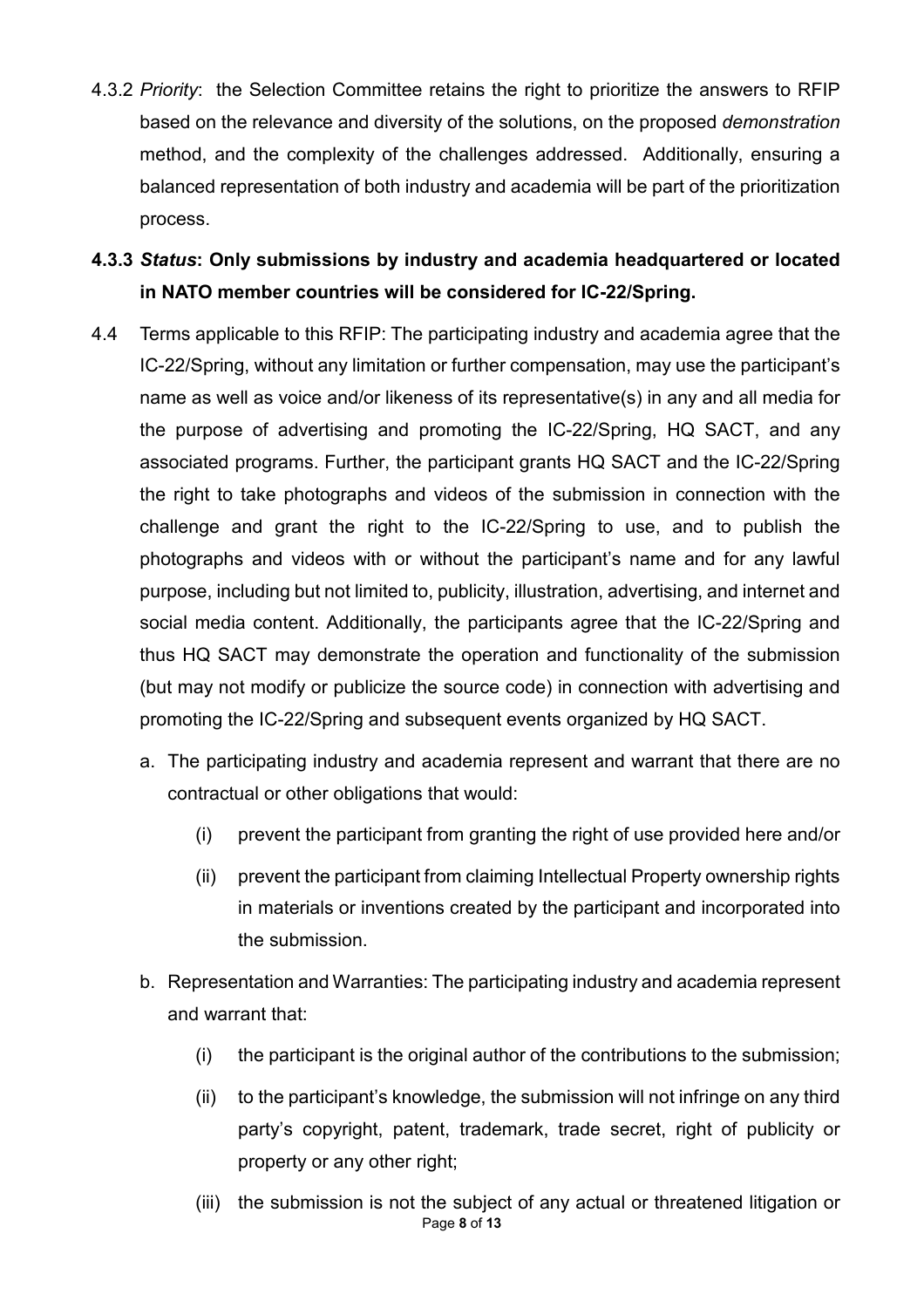- 4.3.2 *Priority*: the Selection Committee retains the right to prioritize the answers to RFIP based on the relevance and diversity of the solutions, on the proposed *demonstration* method, and the complexity of the challenges addressed. Additionally, ensuring a balanced representation of both industry and academia will be part of the prioritization process.
- **4.3.3** *Status***: Only submissions by industry and academia headquartered or located in NATO member countries will be considered for IC-22/Spring.**
- 4.4 Terms applicable to this RFIP: The participating industry and academia agree that the IC-22/Spring, without any limitation or further compensation, may use the participant's name as well as voice and/or likeness of its representative(s) in any and all media for the purpose of advertising and promoting the IC-22/Spring, HQ SACT, and any associated programs. Further, the participant grants HQ SACT and the IC-22/Spring the right to take photographs and videos of the submission in connection with the challenge and grant the right to the IC-22/Spring to use, and to publish the photographs and videos with or without the participant's name and for any lawful purpose, including but not limited to, publicity, illustration, advertising, and internet and social media content. Additionally, the participants agree that the IC-22/Spring and thus HQ SACT may demonstrate the operation and functionality of the submission (but may not modify or publicize the source code) in connection with advertising and promoting the IC-22/Spring and subsequent events organized by HQ SACT.
	- a. The participating industry and academia represent and warrant that there are no contractual or other obligations that would:
		- (i) prevent the participant from granting the right of use provided here and/or
		- (ii) prevent the participant from claiming Intellectual Property ownership rights in materials or inventions created by the participant and incorporated into the submission.
	- b. Representation and Warranties: The participating industry and academia represent and warrant that:
		- (i) the participant is the original author of the contributions to the submission;
		- (ii) to the participant's knowledge, the submission will not infringe on any third party's copyright, patent, trademark, trade secret, right of publicity or property or any other right;
		- Page **8** of **13** (iii) the submission is not the subject of any actual or threatened litigation or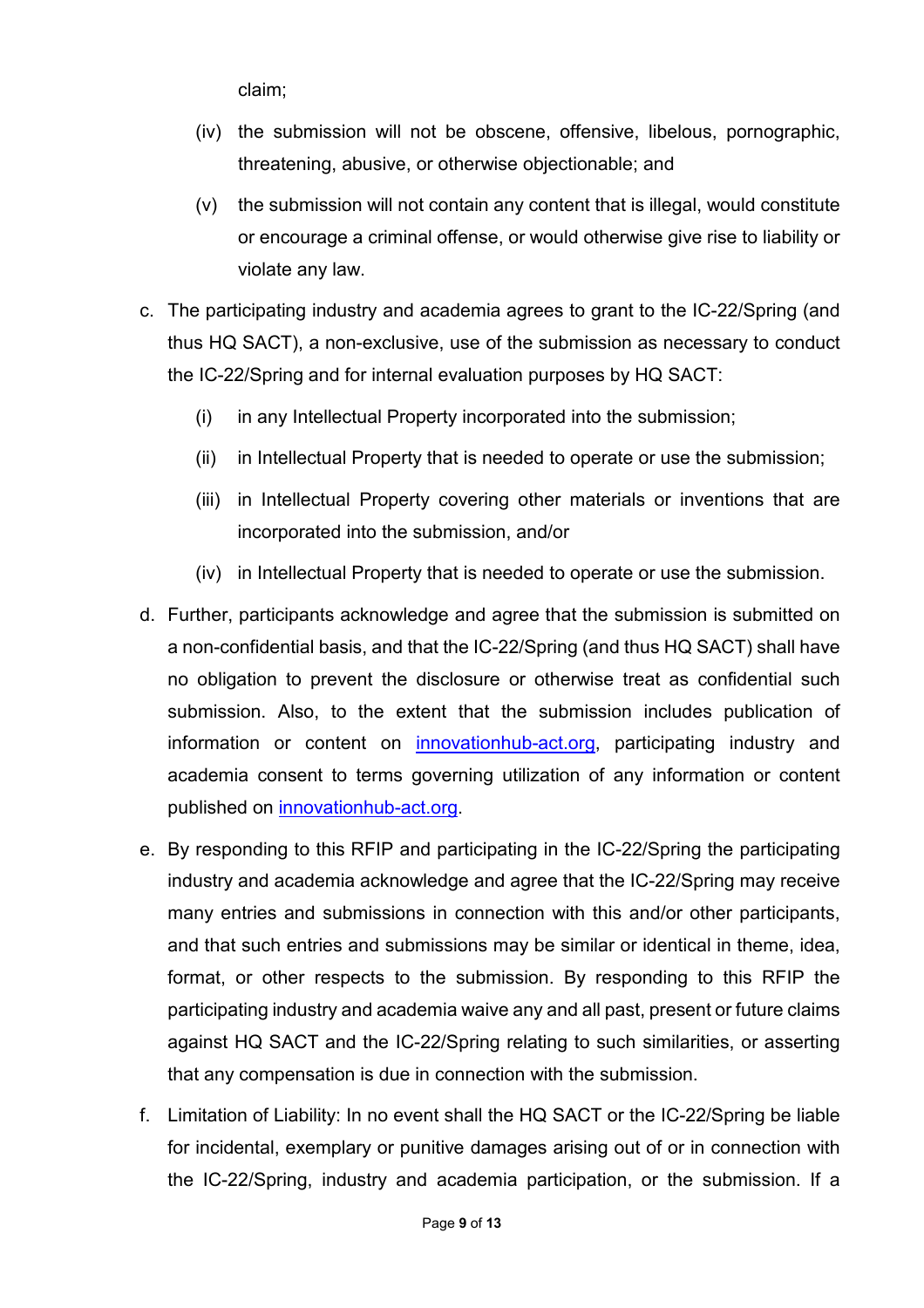claim;

- (iv) the submission will not be obscene, offensive, libelous, pornographic, threatening, abusive, or otherwise objectionable; and
- (v) the submission will not contain any content that is illegal, would constitute or encourage a criminal offense, or would otherwise give rise to liability or violate any law.
- c. The participating industry and academia agrees to grant to the IC-22/Spring (and thus HQ SACT), a non-exclusive, use of the submission as necessary to conduct the IC-22/Spring and for internal evaluation purposes by HQ SACT:
	- (i) in any Intellectual Property incorporated into the submission;
	- (ii) in Intellectual Property that is needed to operate or use the submission;
	- (iii) in Intellectual Property covering other materials or inventions that are incorporated into the submission, and/or
	- (iv) in Intellectual Property that is needed to operate or use the submission.
- d. Further, participants acknowledge and agree that the submission is submitted on a non-confidential basis, and that the IC-22/Spring (and thus HQ SACT) shall have no obligation to prevent the disclosure or otherwise treat as confidential such submission. Also, to the extent that the submission includes publication of information or content on [innovationhub-act.org,](https://www.innovationhub-act.org/) participating industry and academia consent to terms governing utilization of any information or content published on [innovationhub-act.org.](https://www.innovationhub-act.org/)
- e. By responding to this RFIP and participating in the IC-22/Spring the participating industry and academia acknowledge and agree that the IC-22/Spring may receive many entries and submissions in connection with this and/or other participants, and that such entries and submissions may be similar or identical in theme, idea, format, or other respects to the submission. By responding to this RFIP the participating industry and academia waive any and all past, present or future claims against HQ SACT and the IC-22/Spring relating to such similarities, or asserting that any compensation is due in connection with the submission.
- f. Limitation of Liability: In no event shall the HQ SACT or the IC-22/Spring be liable for incidental, exemplary or punitive damages arising out of or in connection with the IC-22/Spring, industry and academia participation, or the submission. If a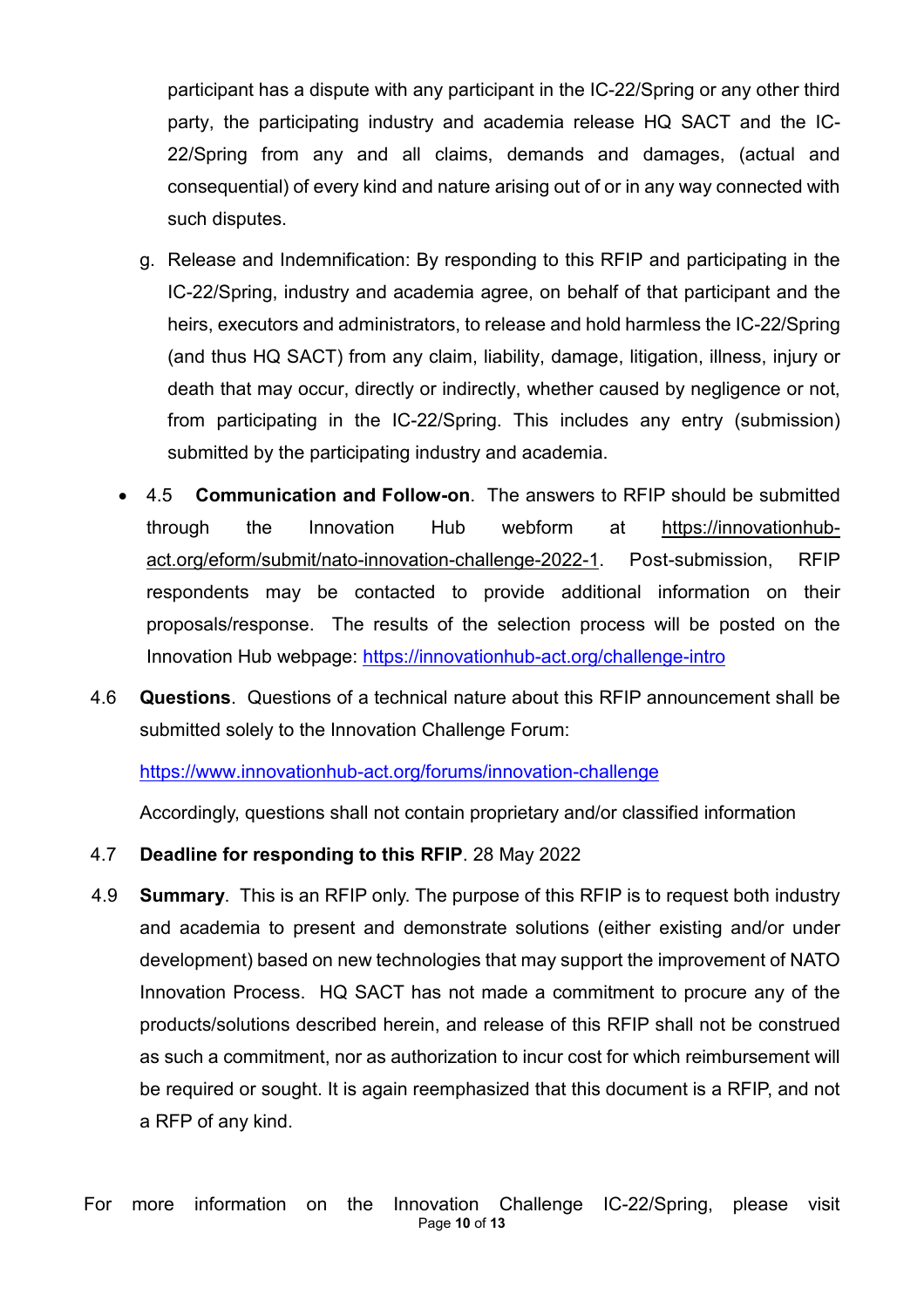participant has a dispute with any participant in the IC-22/Spring or any other third party, the participating industry and academia release HQ SACT and the IC-22/Spring from any and all claims, demands and damages, (actual and consequential) of every kind and nature arising out of or in any way connected with such disputes.

- g. Release and Indemnification: By responding to this RFIP and participating in the IC-22/Spring, industry and academia agree, on behalf of that participant and the heirs, executors and administrators, to release and hold harmless the IC-22/Spring (and thus HQ SACT) from any claim, liability, damage, litigation, illness, injury or death that may occur, directly or indirectly, whether caused by negligence or not, from participating in the IC-22/Spring. This includes any entry (submission) submitted by the participating industry and academia.
- 4.5 **Communication and Follow-on**. The answers to RFIP should be submitted through the Innovation Hub webform at https://innovationhubact.org/eform/submit/nato-innovation-challenge-2022-1. Post-submission, RFIP respondents may be contacted to provide additional information on their proposals/response. The results of the selection process will be posted on the Innovation Hub webpage: <https://innovationhub-act.org/challenge-intro>
- 4.6 **Questions**. Questions of a technical nature about this RFIP announcement shall be submitted solely to the Innovation Challenge Forum:

<https://www.innovationhub-act.org/forums/innovation-challenge>

Accordingly, questions shall not contain proprietary and/or classified information

- 4.7 **Deadline for responding to this RFIP**. 28 May 2022
- 4.9 **Summary**. This is an RFIP only. The purpose of this RFIP is to request both industry and academia to present and demonstrate solutions (either existing and/or under development) based on new technologies that may support the improvement of NATO Innovation Process. HQ SACT has not made a commitment to procure any of the products/solutions described herein, and release of this RFIP shall not be construed as such a commitment, nor as authorization to incur cost for which reimbursement will be required or sought. It is again reemphasized that this document is a RFIP, and not a RFP of any kind.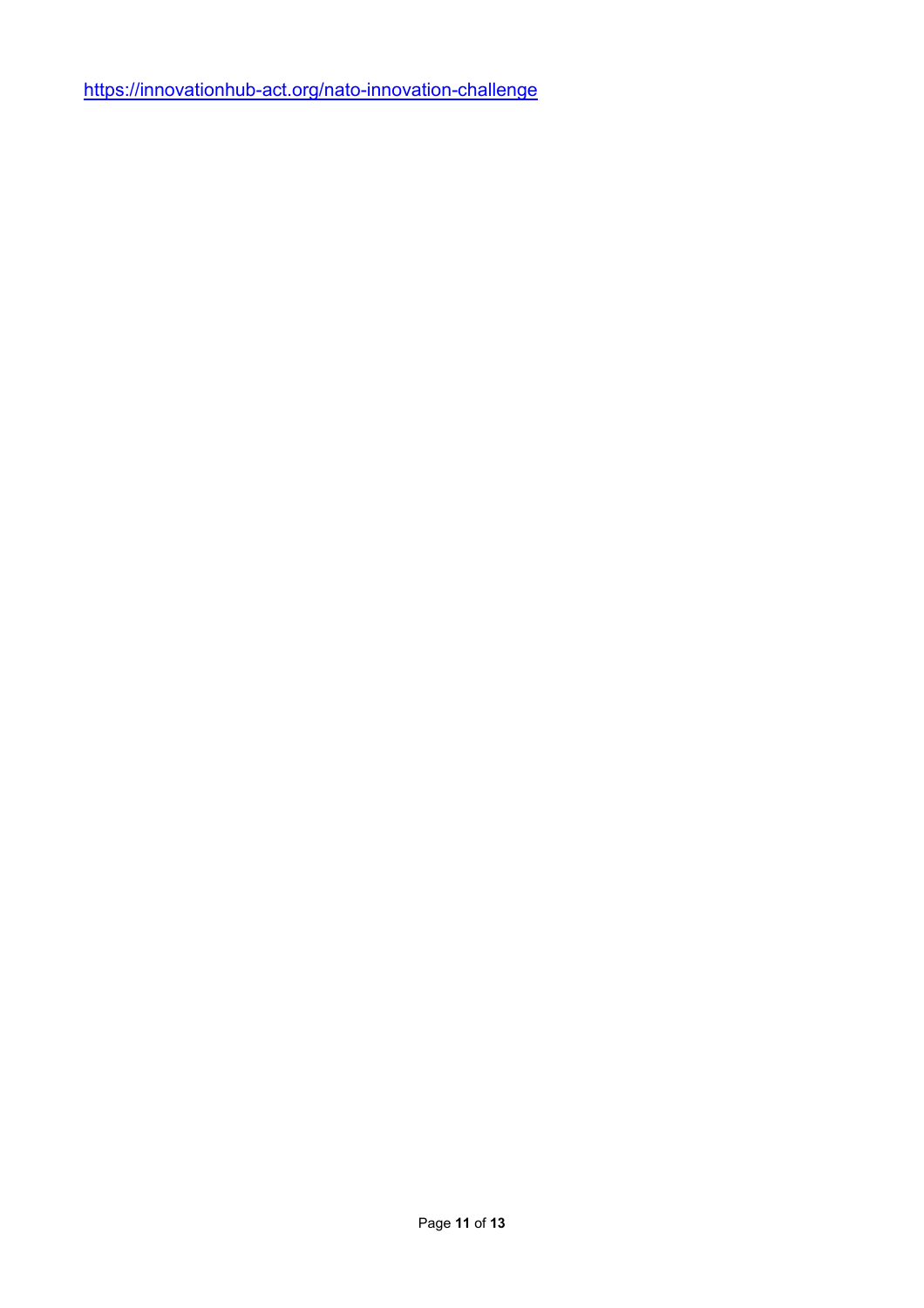<https://innovationhub-act.org/nato-innovation-challenge>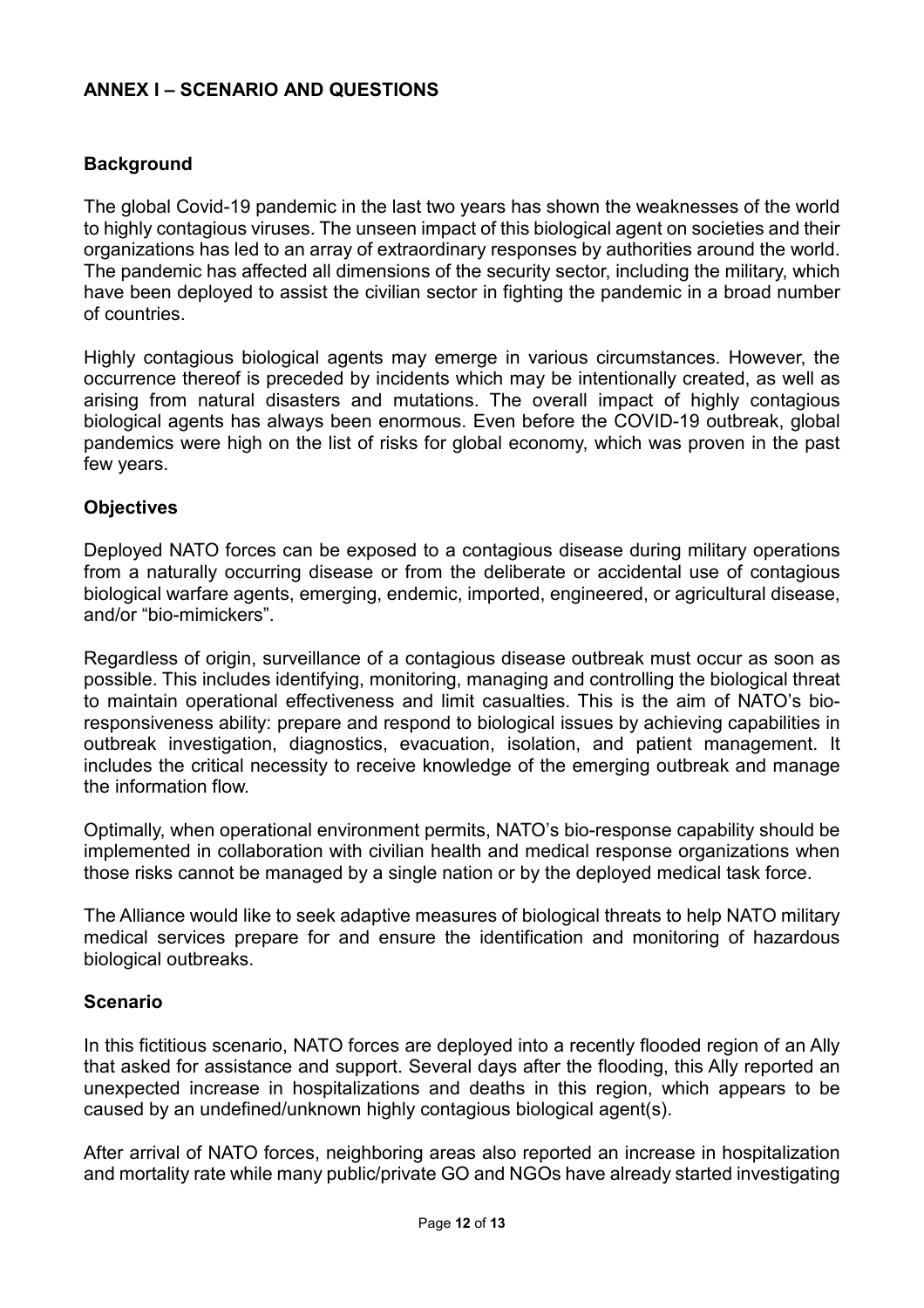## **ANNEX I – SCENARIO AND QUESTIONS**

## **Background**

The global Covid-19 pandemic in the last two years has shown the weaknesses of the world to highly contagious viruses. The unseen impact of this biological agent on societies and their organizations has led to an array of extraordinary responses by authorities around the world. The pandemic has affected all dimensions of the security sector, including the military, which have been deployed to assist the civilian sector in fighting the pandemic in a broad number of countries.

Highly contagious biological agents may emerge in various circumstances. However, the occurrence thereof is preceded by incidents which may be intentionally created, as well as arising from natural disasters and mutations. The overall impact of highly contagious biological agents has always been enormous. Even before the COVID-19 outbreak, global pandemics were high on the list of risks for global economy, which was proven in the past few years.

### **Objectives**

Deployed NATO forces can be exposed to a contagious disease during military operations from a naturally occurring disease or from the deliberate or accidental use of contagious biological warfare agents, emerging, endemic, imported, engineered, or agricultural disease, and/or "bio-mimickers".

Regardless of origin, surveillance of a contagious disease outbreak must occur as soon as possible. This includes identifying, monitoring, managing and controlling the biological threat to maintain operational effectiveness and limit casualties. This is the aim of NATO's bioresponsiveness ability: prepare and respond to biological issues by achieving capabilities in outbreak investigation, diagnostics, evacuation, isolation, and patient management. It includes the critical necessity to receive knowledge of the emerging outbreak and manage the information flow.

Optimally, when operational environment permits, NATO's bio-response capability should be implemented in collaboration with civilian health and medical response organizations when those risks cannot be managed by a single nation or by the deployed medical task force.

The Alliance would like to seek adaptive measures of biological threats to help NATO military medical services prepare for and ensure the identification and monitoring of hazardous biological outbreaks.

### **Scenario**

In this fictitious scenario, NATO forces are deployed into a recently flooded region of an Ally that asked for assistance and support. Several days after the flooding, this Ally reported an unexpected increase in hospitalizations and deaths in this region, which appears to be caused by an undefined/unknown highly contagious biological agent(s).

After arrival of NATO forces, neighboring areas also reported an increase in hospitalization and mortality rate while many public/private GO and NGOs have already started investigating